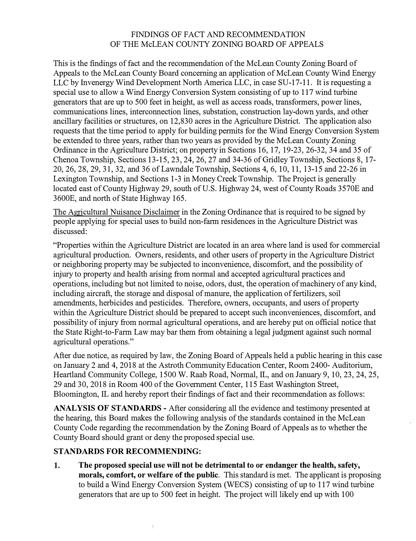## FINDINGS OF FACT AND RECOMMENDATION OF THE McLEAN COUNTY ZONING BOARD OF APPEALS

This is the findings of fact and the recommendation of the McLean County Zoning Board of Appeals to the McLean County Board concerning an application of McLean County Wind Energy LLC by Invenergy Wind Development North America LLC, in case SU-17-11. It is requesting a special use to allow a Wind Energy Conversion System consisting of up to 117 wind turbine generators that are up to 500 feet in height, as well as access roads, transformers, power lines, communications lines, interconnection lines, substation, construction lay-down yards, and other ancillary facilities or structures, on 12,830 acres in the Agriculture District. The application also requests that the time period to apply for building permits for the Wind Energy Conversion System be extended to three years, rather than two years as provided by the McLean County Zoning Ordinance in the Agriculture District; on property in Sections 16, 17, 19-23, 26-32, 34 and 35 of Chenoa Township, Sections 13-15, 23, 24, 26, 27 and 34-36 of Gridley Township, Sections 8, 17- 20, 26, 28, 29, 31, 32, and 36 of Lawndale Township, Sections 4, 6, 10, 11, 13-15 and 22-26 in Lexington Township, and Sections 1-3 in Money Creek Township. The Project is generally located east of County Highway 29, south of U.S. Highway 24, west of County Roads 3570E and 3600E, and north of State Highway 165.

The Agricultural Nuisance Disclaimer in the Zoning Ordinance that is required to be signed by people applying for special uses to build non-farm residences in the Agriculture District was discussed:

"Properties within the Agriculture District are located in an area where land is used for commercial agricultural production. Owners, residents, and other users of property in the Agriculture District or neighboring property may be subjected to inconvenience, discomfort, and the possibility of injury to property and health arising from normal and accepted agricultural practices and operations, including but not limited to noise, odors, dust, the operation of machinery of any kind, including aircraft, the storage and disposal of manure, the application of fertilizers, soil amendments, herbicides and pesticides. Therefore, owners, occupants, and users of property within the Agriculture District should be prepared to accept such inconveniences, discomfort, and possibility of injury from normal agricultural operations, and are hereby put on official notice that the State Right-to-Farm Law may bar them from obtaining a legal judgment against such normal agricultural operations."

After due notice, as required by law, the Zoning Board of Appeals held a public hearing in this case on January 2 and 4, 2018 at the Astroth Community Education Center, Room 2400- Auditorium, Heartland Community College, 1500 W. Raab Road, Normal, IL, and on January 9, 10, 23, 24, 25, 29 and 30, 2018 in Room 400 of the Government Center, 115 East Washington Street, Bloomington, IL and hereby report their findings of fact and their recommendation as follows:

**ANALYSIS OF STANDARDS** - After considering all the evidence and testimony presented at the hearing, this Board makes the following analysis of the standards contained in the McLean County Code regarding the recommendation by the Zoning Board of Appeals as to whether the County Board should grant or deny the proposed special use.

## **STANDARDS FOR RECOMMENDING:**

 $\frac{3}{2}$ 

1. **The proposed special use will not be detrimental to or endanger the health, safety, morals, comfort, or welfare of the public.** This standard is met. The applicant is proposing to build a Wind Energy Conversion System (WECS) consisting of up to 117 wind turbine generators that are up to 500 feet in height. The project will likely end up with 100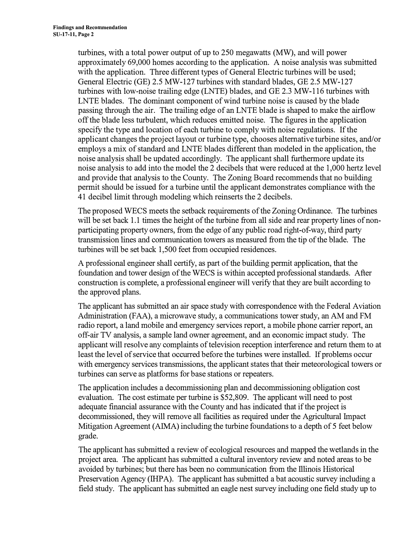turbines, with a total power output of up to 250 megawatts (MW), and will power approximately 69,000 homes according to the application. A noise analysis was submitted with the application. Three different types of General Electric turbines will be used; General Electric (GE) 2.5 MW-127 turbines with standard blades, GE 2.5 MW-127 turbines with low-noise trailing edge (LNTE) blades, and GE 2.3 MW-116 turbines with LNTE blades. The dominant component of wind turbine noise is caused by the blade passing through the air. The trailing edge of an LNTE blade is shaped to make the airflow off the blade less turbulent, which reduces emitted noise. The figures in the application specify the type and location of each turbine to comply with noise regulations. If the applicant changes the project layout or turbine type, chooses alternative turbine sites, and/or employs a mix of standard and LNTE blades different than modeled in the application, the noise analysis shall be updated accordingly. The applicant shall furthermore update its noise analysis to add into the model the 2 decibels that were reduced at the 1,000 hertz level and provide that analysis to the County. The Zoning Board recommends that no building permit should be issued for a turbine until the applicant demonstrates compliance with the 41 decibel limit through modeling which reinserts the 2 decibels.

The proposed WECS meets the setback requirements of the Zoning Ordinance. The turbines will be set back 1.1 times the height of the turbine from all side and rear property lines of nonparticipating property owners, from the edge of any public road right-of-way, third party transmission lines and communication towers as measured from the tip of the blade. The turbines will be set back 1,500 feet from occupied residences.

A professional engineer shall certify, as part of the building permit application, that the foundation and tower design of the WECS is within accepted professional standards. After construction is complete, a professional engineer will verify that they are built according to the approved plans.

The applicant has submitted an air space study with correspondence with the Federal Aviation Administration (FAA), a microwave study, a communications tower study, an AM and FM radio report, a land mobile and emergency services report, a mobile phone carrier report, an off-air TV analysis, a sample land owner agreement, and an economic impact study. The applicant will resolve any complaints of television reception interference and return them to at least the level of service that occurred before the turbines were installed. If problems occur with emergency services transmissions, the applicant states that their meteorological towers or turbines can serve as platforms for base stations or repeaters.

The application includes a decommissioning plan and decommissioning obligation cost evaluation. The cost estimate per turbine is \$52,809. The applicant will need to post adequate financial assurance with the County and has indicated that if the project is decommissioned, they will remove all facilities as required under the Agricultural Impact Mitigation Agreement (AIMA) including the turbine foundations to a depth of 5 feet below grade.

The applicant has submitted a review of ecological resources and mapped the wetlands in the project area. The applicant has submitted a cultural inventory review and noted areas to be avoided by turbines; but there has been no communication from the Illinois Historical Preservation Agency (IHPA). The applicant has submitted a bat acoustic survey including a field study. The applicant has submitted an eagle nest survey including one field study up to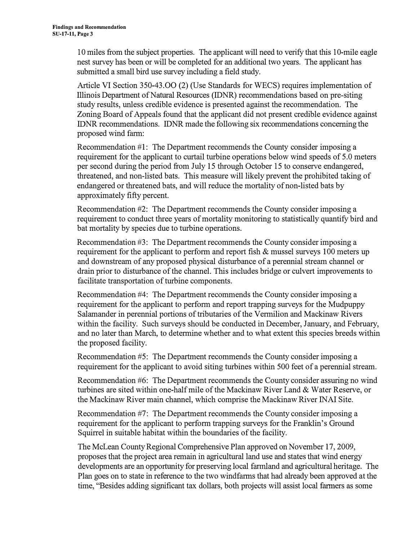10 miles from the subject properties. The applicant will need to verify that this 10-mile eagle nest survey has been or will be completed for an additional two years. The applicant has submitted a small bird use survey including a field study.

Article VI Section 350-43.00 (2) (Use Standards for WECS) requires implementation of Illinois Department of Natural Resources (IDNR) recommendations based on pre-siting study results, unless credible evidence is presented against the recommendation. The Zoning Board of Appeals found that the applicant did not present credible evidence against IDNR recommendations. IDNR made the following six recommendations concerning the proposed wind farm:

Recommendation #1: The Department recommends the County consider imposing a requirement for the applicant to curtail turbine operations below wind speeds of 5.0 meters per second during the period from July 15 through October 15 to conserve endangered, threatened, and non-listed bats. This measure will likely prevent the prohibited taking of endangered or threatened bats, and will reduce the mortality of non-listed bats by approximately fifty percent.

Recommendation #2: The Department recommends the County consider imposing a requirement to conduct three years of mortality monitoring to statistically quantify bird and bat mortality by species due to turbine operations.

Recommendation #3: The Department recommends the County consider imposing a requirement for the applicant to perform and report fish & mussel surveys 100 meters up and downstream of any proposed physical disturbance of a perennial stream channel or drain prior to disturbance of the channel. This includes bridge or culvert improvements to facilitate transportation of turbine components.

Recommendation #4: The Department recommends the County consider imposing a requirement for the applicant to perform and report trapping surveys for the Mudpuppy Salamander in perennial portions of tributaries of the Vermilion and Mackinaw Rivers within the facility. Such surveys should be conducted in December, January, and February, and no later than March, to determine whether and to what extent this species breeds within the proposed facility.

Recommendation #5: The Department recommends the County consider imposing a requirement for the applicant to avoid siting turbines within 500 feet of a perennial stream.

Recommendation #6: The Department recommends the County consider assuring no wind turbines are sited within one-half mile of the Mackinaw River Land & Water Reserve, or the Mackinaw River main channel, which comprise the Mackinaw River INAI Site.

Recommendation #7: The Department recommends the County consider imposing a requirement for the applicant to perform trapping surveys for the Franklin's Ground Squirrel in suitable habitat within the boundaries of the facility.

The McLean County Regional Comprehensive Plan approved on November 17, 2009, proposes that the project area remain in agricultural land use and states that wind energy developments are an opportunity for preserving local farmland and agricultural heritage. The Plan goes on to state in reference to the two windfarms that had already been approved at the time, "Besides adding significant tax dollars, both projects will assist local farmers as some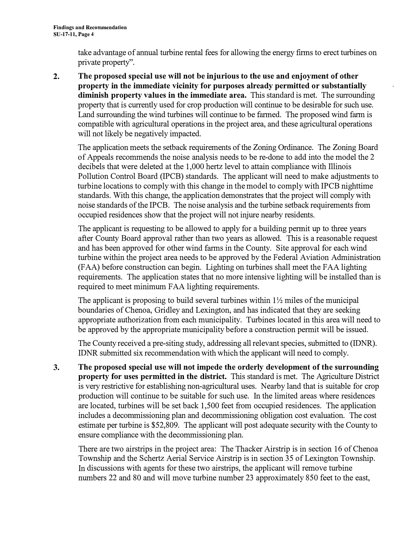take advantage of annual turbine rental fees for allowing the energy firms to erect turbines on private property''.

**2. The proposed special use will not be injurious to the use and enjoyment of other property in the immediate vicinity for purposes already permitted or substantially diminish property values in the immediate area.** This standard is met. The surrounding property that is currently used for crop production will continue to be desirable for such use. Land surrounding the wind turbines will continue to be farmed. The proposed wind farm is compatible with agricultural operations in the project area, and these agricultural operations will not likely be negatively impacted.

The application meets the setback requirements of the Zoning Ordinance. The Zoning Board of Appeals recommends the noise analysis needs to be re-done to add into the model the 2 decibels that were deleted at the 1,000 hertz level to attain compliance with Illinois Pollution Control Board (IPCB) standards. The applicant will need to make adjustments to turbine locations to comply with this change in the model to comply with IPCB nighttime standards. With this change, the application demonstrates that the project will comply with noise standards of the IPCB. The noise analysis and the turbine setback requirements from occupied residences show that the project will not injure nearby residents.

The applicant is requesting to be allowed to apply for a building permit up to three years after County Board approval rather than two years as allowed. This is a reasonable request and has been approved for other wind farms in the County. Site approval for each wind turbine within the project area needs to be approved by the Federal Aviation Administration (FAA) before construction can begin. Lighting on turbines shall meet the FAA lighting requirements. The application states that no more intensive lighting will be installed than is required to meet minimum FAA lighting requirements.

The applicant is proposing to build several turbines within  $1\frac{1}{2}$  miles of the municipal boundaries of Chenoa, Gridley and Lexington, and has indicated that they are seeking appropriate authorization from each municipality. Turbines located in this area will need to be approved by the appropriate municipality before a construction permit will be issued.

The County received a pre-siting study, addressing all relevant species, submitted to (IDNR). IDNR submitted six recommendation with which the applicant will need to comply.

**3. The proposed special use will not impede the orderly development of the surrounding property for uses permitted in the district.** This standard is met. The Agriculture District is very restrictive for establishing non-agricultural uses. Nearby land that is suitable for crop production will continue to be suitable for such use. In the limited areas where residences are located, turbines will be set back 1,500 feet from occupied residences. The application includes a decommissioning plan and decommissioning obligation cost evaluation. The cost estimate per turbine is \$52,809. The applicant will post adequate security with the County to ensure compliance with the decommissioning plan.

There are two airstrips in the project area: The Thacker Airstrip is in section 16 of Chenoa Township and the Schertz Aerial Service Airstrip is in section 35 of Lexington Township. In discussions with agents for these two airstrips, the applicant will remove turbine numbers 22 and 80 and will move turbine number 23 approximately 850 feet to the east,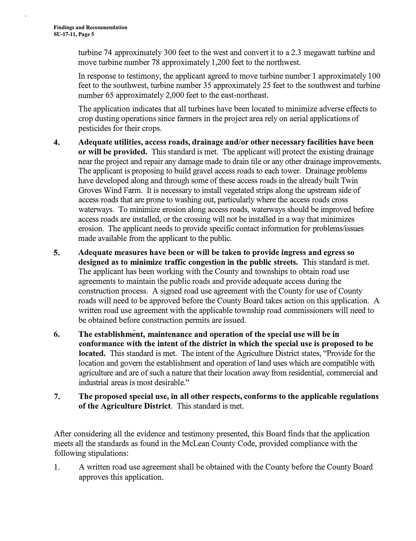turbine 74 approximately 300 feet to the west and convert it to a 2.3 megawatt turbine and move turbine number 78 approximately 1,200 feet to the northwest.

In response to testimony, the applicant agreed to move turbine number 1 approximately 100 feet to the southwest, turbine number 35 approximately 25 feet to the southwest and turbine number 65 approximately 2,000 feet to the east-northeast.

The application indicates that all turbines have been located to minimize adverse effects to crop dusting operations since farmers in the project area rely on aerial applications of pesticides for their crops.

- **4. Adequate utilities, access roads, drainage and/or other necessary facilities have been or will be provided.** This standard is met. The applicant will protect the existing drainage near the project and repair any damage made to drain tile or any other drainage improvements. The applicant is proposing to build gravel access roads to each tower. Drainage problems have developed along and through some of these access roads in the already built Twin Groves Wind Farm. It is necessary to install vegetated strips along the upstream side of access roads that are prone to washing out, particularly where the access roads cross waterways. To minimize erosion along access roads, waterways should be improved before access roads are installed, or the crossing will not be installed in a way that minimizes erosion. The applicant needs to provide specific contact information for problems/issues made available from the applicant to the public.
- **5. Adequate measures have been or will be taken to provide ingress and egress so designed as to minimize traffic congestion in the public streets.** This standard is met. The applicant has been working with the County and townships to obtain road use agreements to maintain the public roads and provide adequate access during the construction process. A signed road use agreement with the County for use of County roads will need to be approved before the County Board takes action on this application. A written road use agreement with the applicable township road commissioners will need to be obtained before construction permits are issued.
- **6. The establishment, maintenance and operation of the special use will be in conformance with the intent of the district in which the special use is proposed to be located.** This standard is met. The intent of the Agriculture District states, "Provide for the location and govern the establishment and operation of land uses which are compatible with agriculture and are of such a nature that their location away from residential, commercial and industrial areas is most desirable."
- **7. The proposed special use, in all other respects, conforms to the applicable regulations of the Agriculture District.** This standard is met.

After considering all the evidence and testimony presented, this Board finds that the application meets all the standards as found in the McLean County Code, provided compliance with the following stipulations:

1. A written road use agreement shall be obtained with the County before the County Board approves this application.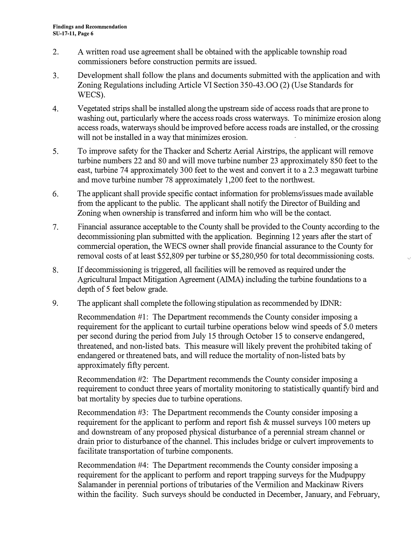- 2. A written road use agreement shall be obtained with the applicable township road commissioners before construction permits are issued.
- 3. Development shall follow the plans and documents submitted with the application and with Zoning Regulations including Article VI Section 350-43.00 (2) (Use Standards for WECS).
- 4. Vegetated strips shall be installed along the upstream side of access roads that are prone to washing out, particularly where the access roads cross waterways. To minimize erosion along access roads, waterways should be improved before access roads are installed, or the crossing will not be installed in a way that minimizes erosion.
- 5. To improve safety for the Thacker and Schertz Aerial Airstrips, the applicant will remove turbine numbers 22 and 80 and will move turbine number 23 approximately 850 feet to the east, turbine 74 approximately 300 feet to the west and convert it to a 2.3 megawatt turbine and move turbine number 78 approximately 1,200 feet to the northwest.
- 6. The applicant shall provide specific contact information for problems/issues made available from the applicant to the public. The applicant shall notify the Director of Building and Zoning when ownership is transferred and inform him who will be the contact.
- 7. Financial assurance acceptable to the County shall be provided to the County according to the decommissioning plan submitted with the application. Beginning 12 years after the start of commercial operation, the WECS owner shall provide financial assurance to the County for removal costs of at least \$52,809 per turbine or \$5,280,950 for total decommissioning costs.
- 8. If decommissioning is triggered, all facilities will be removed as required under the Agricultural Impact Mitigation Agreement (AIMA) including the turbine foundations to a depth of 5 feet below grade.
- 9. The applicant shall complete the following stipulation as recommended by IDNR:

Recommendation #1: The Department recommends the County consider imposing a requirement for the applicant to curtail turbine operations below wind speeds of 5.0 meters per second during the period from July 15 through October 15 to conserve endangered, threatened, and non-listed bats. This measure will likely prevent the prohibited taking of endangered or threatened bats, and will reduce the mortality of non-listed bats by approximately fifty percent.

Recommendation #2: The Department recommends the County consider imposing a requirement to conduct three years of mortality monitoring to statistically quantify bird and bat mortality by species due to turbine operations.

Recommendation #3: The Department recommends the County consider imposing a requirement for the applicant to perform and report fish & mussel surveys 100 meters up and downstream of any proposed physical disturbance of a perennial stream channel or drain prior to disturbance of the channel. This includes bridge or culvert improvements to facilitate transportation of turbine components.

Recommendation #4: The Department recommends the County consider imposing a requirement for the applicant to perform and report trapping surveys for the Mudpuppy Salamander in perennial portions of tributaries of the Vermilion and Mackinaw Rivers within the facility. Such surveys should be conducted in December, January, and February,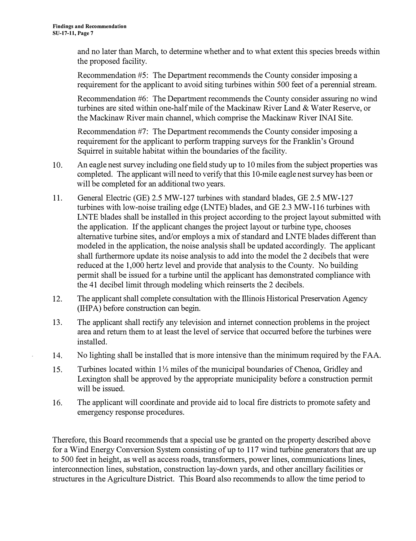and no later than March, to determine whether and to what extent this species breeds within the proposed facility.

Recommendation #5: The Department recommends the County consider imposing a requirement for the applicant to avoid siting turbines within 500 feet of a perennial stream.

Recommendation #6: The Department recommends the County consider assuring no wind turbines are sited within one-half mile of the Mackinaw River Land & Water Reserve, or the Mackinaw River main channel, which comprise the Mackinaw River INAI Site.

Recommendation #7: The Department recommends the County consider imposing a requirement for the applicant to perform trapping surveys for the Franklin's Ground Squirrel in suitable habitat within the boundaries of the facility.

- 10. An eagle nest survey including one field study up to 10 miles from the subject properties was completed. The applicant will need to verify that this 10-mile eagle nest survey has been or will be completed for an additional two years.
- 11. General Electric (GE) 2.5 MW-127 turbines with standard blades, GE 2.5 MW-127 turbines with low-noise trailing edge (LNTE) blades, and GE 2.3 MW-116 turbines with LNTE blades shall be installed in this project according to the project layout submitted with the application. If the applicant changes the project layout or turbine type, chooses alternative turbine sites, and/or employs a mix of standard and LNTE blades different than modeled in the application, the noise analysis shall be updated accordingly. The applicant shall furthermore update its noise analysis to add into the model the 2 decibels that were reduced at the 1,000 hertz level and provide that analysis to the County. No building permit shall be issued for a turbine until the applicant has demonstrated compliance with the 41 decibel limit through modeling which reinserts the 2 decibels.
- 12. The applicant shall complete consultation with the Illinois Historical Preservation Agency (IHPA) before construction can begin.
- 13. The applicant shall rectify any television and internet connection problems in the project area and return them to at least the level of service that occurred before the turbines were installed.
- 14. No lighting shall be installed that is more intensive than the minimum required by the FAA.
- 15. Turbines located within  $1\frac{1}{2}$  miles of the municipal boundaries of Chenoa, Gridley and Lexington shall be approved by the appropriate municipality before a construction permit will be issued.
- 16. The applicant will coordinate and provide aid to local fire districts to promote safety and emergency response procedures.

Therefore, this Board recommends that a special use be granted on the property described above for a Wind Energy Conversion System consisting of up to 117 wind turbine generators that are up to 500 feet in height, as well as access roads, transformers, power lines, communications lines, interconnection lines, substation, construction lay-down yards, and other ancillary facilities or structures in the Agriculture District. This Board also recommends to allow the time period to